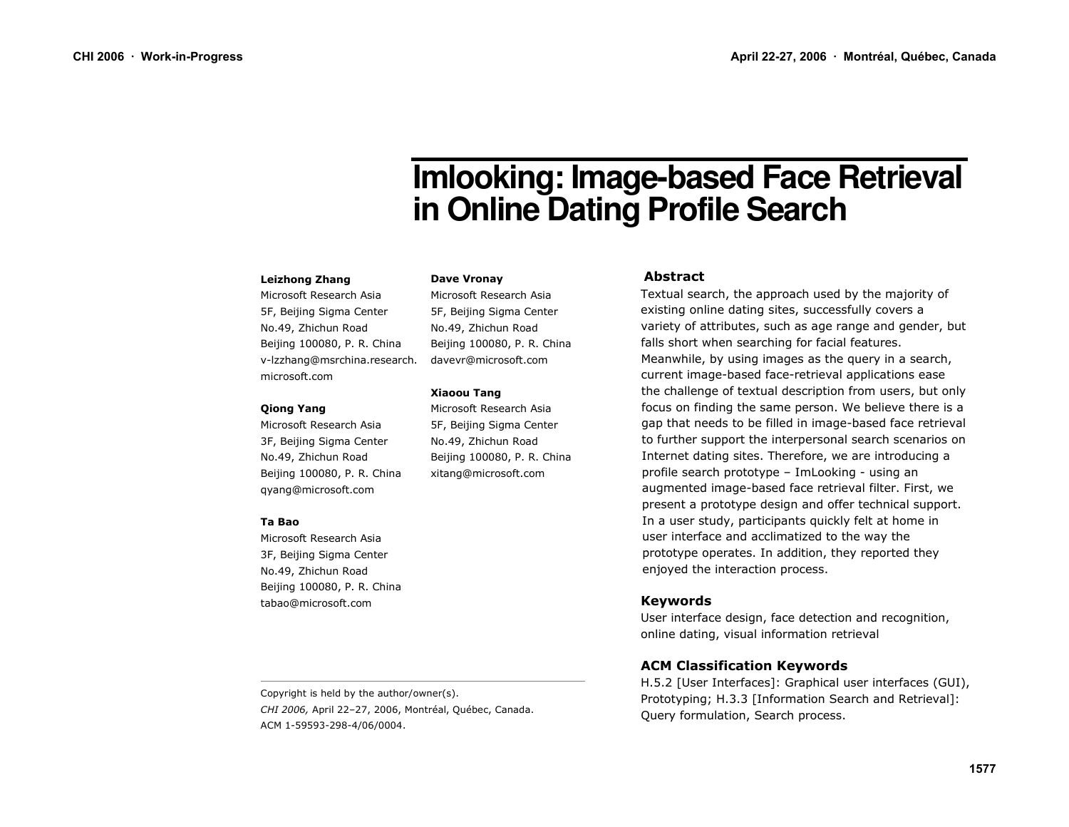# **Imlooking: Image-based Face Retrieval** in Online Dating Profile Search

#### **Leizhong Zhang**

Microsoft Research Asia 5F, Beijing Sigma Center No.49, Zhichun Road Beijing 100080, P. R. China v-Izzhang@msrchina.research. microsoft.com

#### **Qiong Yang**

Microsoft Research Asia 3F, Beijing Sigma Center No.49, Zhichun Road Beijing 100080, P. R. China gyang@microsoft.com

#### Ta Bao

Microsoft Research Asia 3F, Beijing Sigma Center No.49, Zhichun Road Beijing 100080, P. R. China tabao@microsoft.com

**Dave Vronav** 

Microsoft Research Asia 5F, Beijing Sigma Center No.49, Zhichun Road Beijing 100080, P. R. China davevr@microsoft.com

#### **Xiaoou Tang**

Microsoft Research Asia 5F, Beijing Sigma Center No.49, Zhichun Road Beijing 100080, P. R. China xitang@microsoft.com

## **Abstract**

Textual search, the approach used by the majority of existing online dating sites, successfully covers a variety of attributes, such as age range and gender, but falls short when searching for facial features. Meanwhile, by using images as the query in a search, current image-based face-retrieval applications ease the challenge of textual description from users, but only focus on finding the same person. We believe there is a gap that needs to be filled in image-based face retrieval to further support the interpersonal search scenarios on Internet dating sites. Therefore, we are introducing a profile search prototype - ImLooking - using an augmented image-based face retrieval filter. First, we present a prototype design and offer technical support. In a user study, participants quickly felt at home in user interface and acclimatized to the way the prototype operates. In addition, they reported they enjoyed the interaction process.

## **Keywords**

User interface design, face detection and recognition, online dating, visual information retrieval

# **ACM Classification Keywords**

H.5.2 [User Interfaces]: Graphical user interfaces (GUI), Prototyping: H.3.3 [Information Search and Retrieval]: Query formulation, Search process.

Copyright is held by the author/owner(s). CHI 2006, April 22-27, 2006, Montréal, Québec, Canada. ACM 1-59593-298-4/06/0004.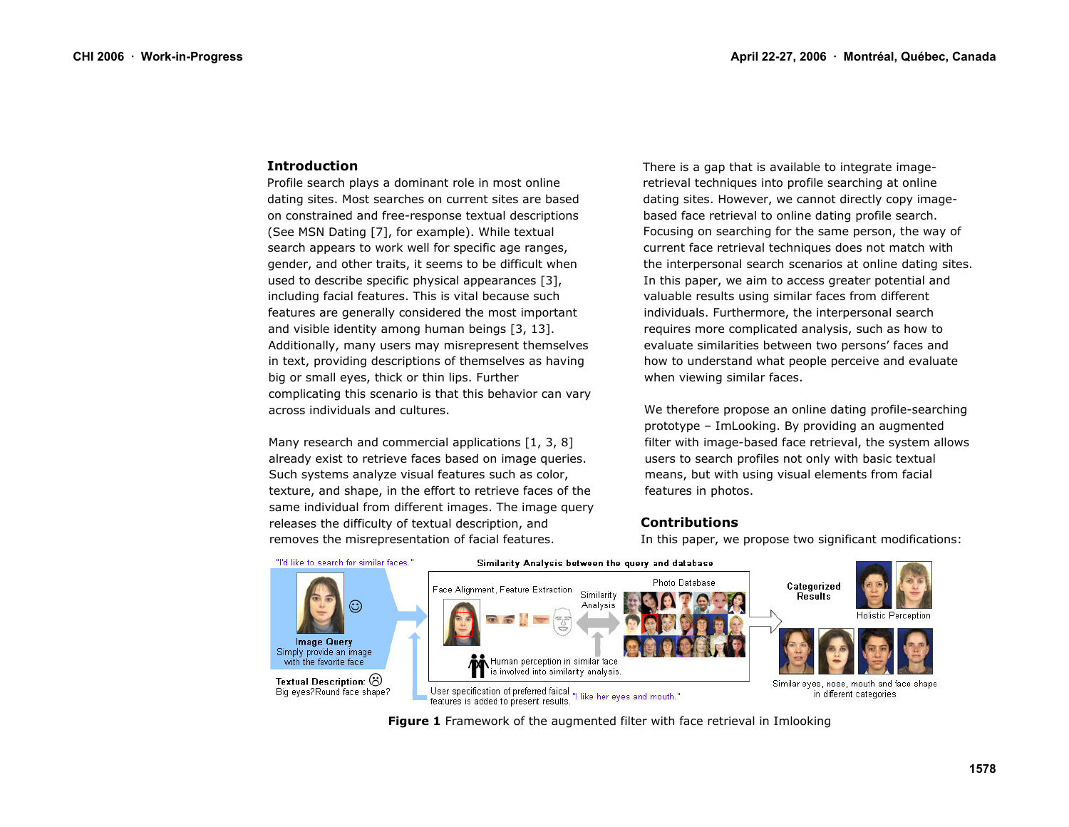#### **Introduction**

Profile search plays a dominant role in most online dating sites. Most searches on current sites are based on constrained and free-response textual descriptions (See MSN Dating [7], for example). While textual search appears to work well for specific age ranges, gender, and other traits, it seems to be difficult when used to describe specific physical appearances [3], including facial features. This is vital because such features are generally considered the most important and visible identity among human beings [3, 13]. Additionally, many users may misrepresent themselves in text, providing descriptions of themselves as having big or small eyes, thick or thin lips. Further complicating this scenario is that this behavior can vary across individuals and cultures.

Many research and commercial applications [1, 3, 8] already exist to retrieve faces based on image queries. Such systems analyze visual features such as color, texture, and shape, in the effort to retrieve faces of the same individual from different images. The image query releases the difficulty of textual description, and removes the misrepresentation of facial features.

There is a gap that is available to integrate imageretrieval techniques into profile searching at online dating sites. However, we cannot directly copy imagebased face retrieval to online dating profile search. Focusing on searching for the same person, the way of current face retrieval techniques does not match with the interpersonal search scenarios at online dating sites. In this paper, we aim to access greater potential and valuable results using similar faces from different individuals. Furthermore, the interpersonal search requires more complicated analysis, such as how to evaluate similarities between two persons' faces and how to understand what people perceive and evaluate when viewing similar faces.

We therefore propose an online dating profile-searching prototype - ImLooking. By providing an augmented filter with image-based face retrieval, the system allows users to search profiles not only with basic textual means, but with using visual elements from facial features in photos.

## **Contributions**

In this paper, we propose two significant modifications:



Figure 1 Framework of the augmented filter with face retrieval in Imlooking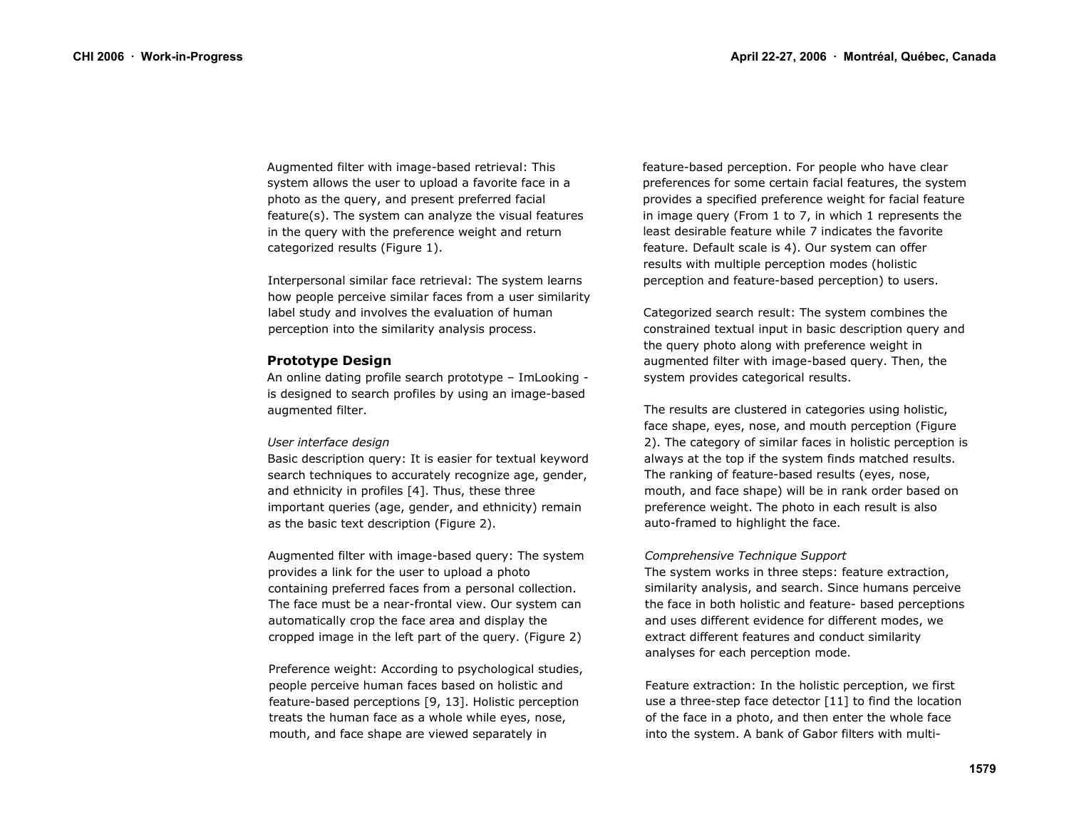Augmented filter with image-based retrieval: This system allows the user to upload a favorite face in a photo as the query, and present preferred facial feature(s). The system can analyze the visual features in the query with the preference weight and return categorized results (Figure 1).

Interpersonal similar face retrieval: The system learns how people perceive similar faces from a user similarity label study and involves the evaluation of human perception into the similarity analysis process.

#### **Prototype Design**

An online dating profile search prototype - ImLooking is designed to search profiles by using an image-based augmented filter.

#### User interface design

Basic description query: It is easier for textual keyword search techniques to accurately recognize age, gender, and ethnicity in profiles [4]. Thus, these three important queries (age, gender, and ethnicity) remain as the basic text description (Figure 2).

Augmented filter with image-based query: The system provides a link for the user to upload a photo containing preferred faces from a personal collection. The face must be a near-frontal view. Our system can automatically crop the face area and display the cropped image in the left part of the query. (Figure 2)

Preference weight: According to psychological studies, people perceive human faces based on holistic and feature-based perceptions [9, 13]. Holistic perception treats the human face as a whole while eyes, nose, mouth, and face shape are viewed separately in

feature-based perception. For people who have clear preferences for some certain facial features, the system provides a specified preference weight for facial feature in image query (From 1 to 7, in which 1 represents the least desirable feature while 7 indicates the favorite feature. Default scale is 4). Our system can offer results with multiple perception modes (holistic perception and feature-based perception) to users.

Categorized search result: The system combines the constrained textual input in basic description query and the query photo along with preference weight in augmented filter with image-based query. Then, the system provides categorical results.

The results are clustered in categories using holistic, face shape, eyes, nose, and mouth perception (Figure 2). The category of similar faces in holistic perception is always at the top if the system finds matched results. The ranking of feature-based results (eves, nose, mouth, and face shape) will be in rank order based on preference weight. The photo in each result is also auto-framed to highlight the face.

#### Comprehensive Technique Support

The system works in three steps: feature extraction, similarity analysis, and search. Since humans perceive the face in both holistic and feature- based perceptions and uses different evidence for different modes, we extract different features and conduct similarity analyses for each perception mode.

Feature extraction: In the holistic perception, we first use a three-step face detector [11] to find the location of the face in a photo, and then enter the whole face into the system. A bank of Gabor filters with multi-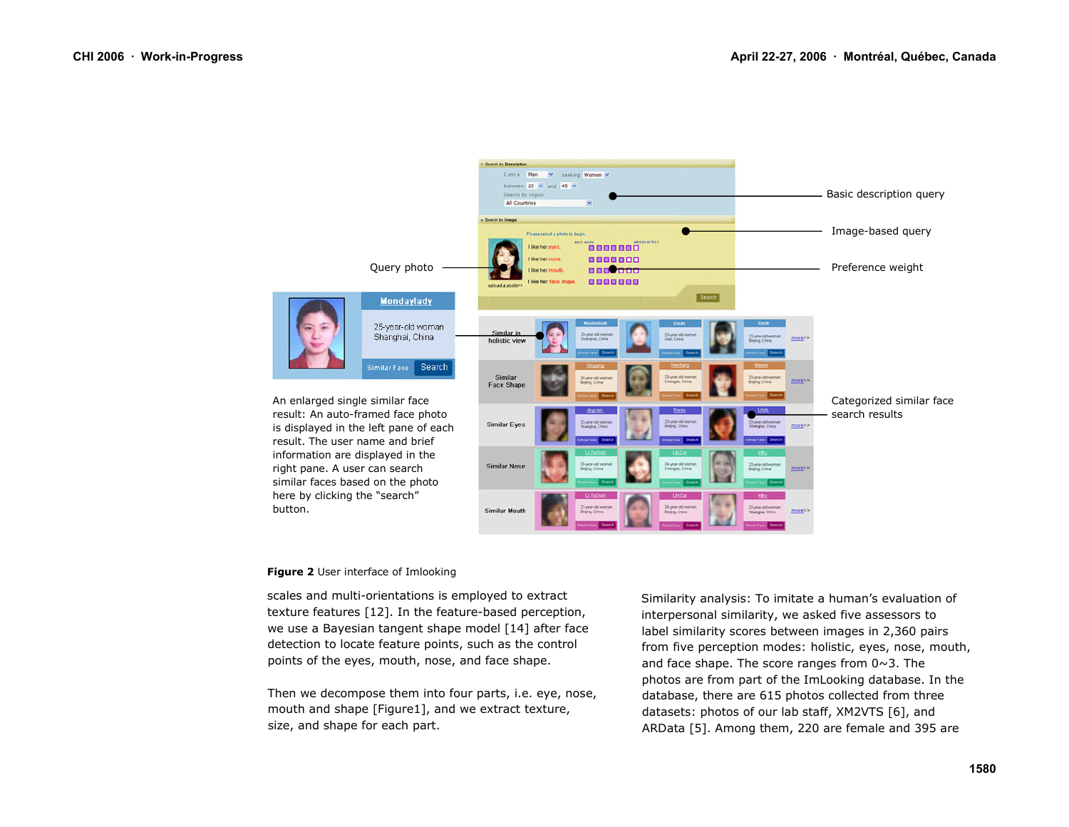

#### Figure 2 User interface of Imlooking

scales and multi-orientations is employed to extract texture features [12]. In the feature-based perception, we use a Bayesian tangent shape model [14] after face detection to locate feature points, such as the control points of the eyes, mouth, nose, and face shape.

Then we decompose them into four parts, i.e. eye, nose, mouth and shape [Figure1], and we extract texture, size, and shape for each part.

Similarity analysis: To imitate a human's evaluation of interpersonal similarity, we asked five assessors to label similarity scores between images in 2,360 pairs from five perception modes: holistic, eyes, nose, mouth, and face shape. The score ranges from  $0 \sim 3$ . The photos are from part of the ImLooking database. In the database, there are 615 photos collected from three datasets: photos of our lab staff, XM2VTS [6], and ARData [5]. Among them, 220 are female and 395 are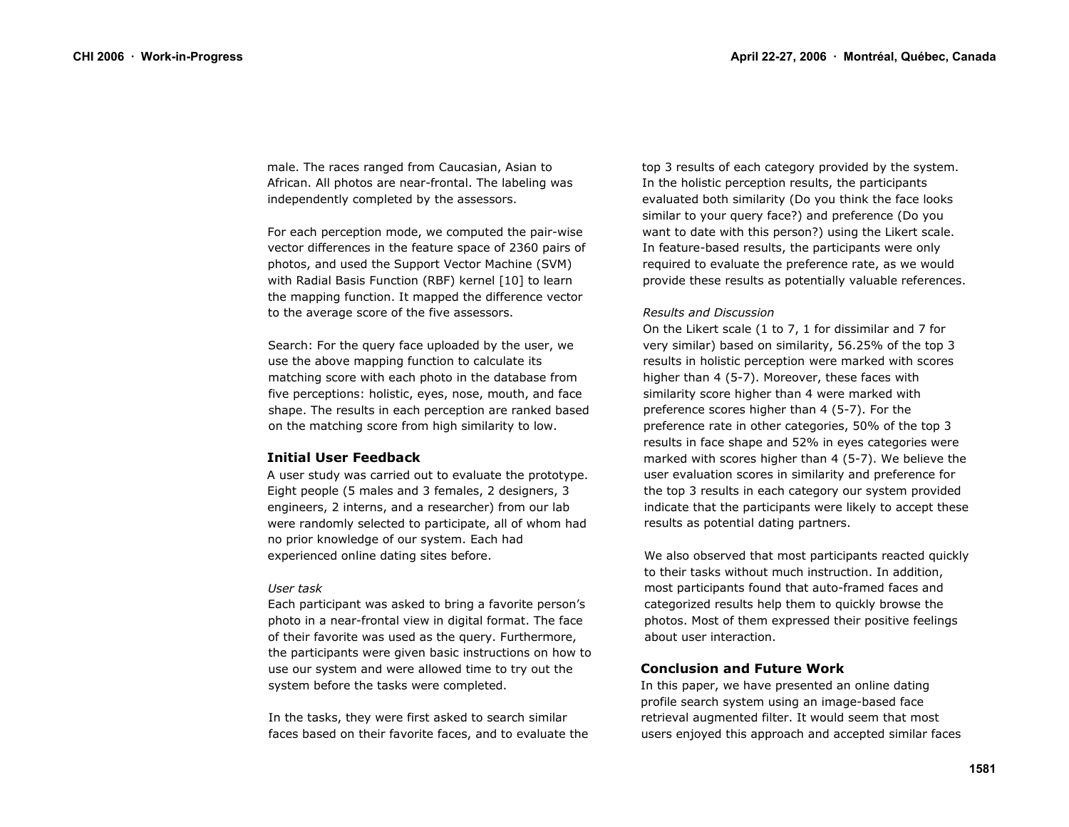male. The races ranged from Caucasian, Asian to African. All photos are near-frontal. The labeling was independently completed by the assessors.

For each perception mode, we computed the pair-wise vector differences in the feature space of 2360 pairs of photos, and used the Support Vector Machine (SVM) with Radial Basis Function (RBF) kernel [10] to learn the mapping function. It mapped the difference vector to the average score of the five assessors.

Search: For the query face uploaded by the user, we use the above mapping function to calculate its matching score with each photo in the database from five perceptions: holistic, eyes, nose, mouth, and face shape. The results in each perception are ranked based on the matching score from high similarity to low.

#### **Initial User Feedback**

A user study was carried out to evaluate the prototype. Eight people (5 males and 3 females, 2 designers, 3 engineers, 2 interns, and a researcher) from our lab were randomly selected to participate, all of whom had no prior knowledge of our system. Each had experienced online dating sites before.

#### User task

Each participant was asked to bring a favorite person's photo in a near-frontal view in digital format. The face of their favorite was used as the query. Furthermore, the participants were given basic instructions on how to use our system and were allowed time to try out the system before the tasks were completed.

In the tasks, they were first asked to search similar faces based on their favorite faces, and to evaluate the top 3 results of each category provided by the system. In the holistic perception results, the participants evaluated both similarity (Do you think the face looks similar to your query face?) and preference (Do you want to date with this person?) using the Likert scale. In feature-based results, the participants were only required to evaluate the preference rate, as we would provide these results as potentially valuable references.

#### **Results and Discussion**

On the Likert scale (1 to 7, 1 for dissimilar and 7 for very similar) based on similarity, 56.25% of the top 3 results in holistic perception were marked with scores higher than 4 (5-7). Moreover, these faces with similarity score higher than 4 were marked with preference scores higher than 4 (5-7). For the preference rate in other categories, 50% of the top 3 results in face shape and 52% in eyes categories were marked with scores higher than 4 (5-7). We believe the user evaluation scores in similarity and preference for the top 3 results in each category our system provided indicate that the participants were likely to accept these results as potential dating partners.

We also observed that most participants reacted quickly to their tasks without much instruction. In addition, most participants found that auto-framed faces and categorized results help them to quickly browse the photos. Most of them expressed their positive feelings about user interaction.

# **Conclusion and Future Work**

In this paper, we have presented an online dating profile search system using an image-based face retrieval augmented filter. It would seem that most users enjoyed this approach and accepted similar faces